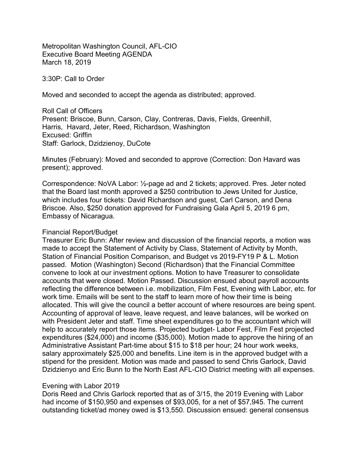Metropolitan Washington Council, AFL-CIO Executive Board Meeting AGENDA March 18, 2019

3:30P: Call to Order

Moved and seconded to accept the agenda as distributed; approved.

Roll Call of Officers Present: Briscoe, Bunn, Carson, Clay, Contreras, Davis, Fields, Greenhill, Harris, Havard, Jeter, Reed, Richardson, Washington Excused: Griffin Staff: Garlock, Dzidzienoy, DuCote

Minutes (February): Moved and seconded to approve (Correction: Don Havard was present); approved.

Correspondence: NoVA Labor: ½-page ad and 2 tickets; approved. Pres. Jeter noted that the Board last month approved a \$250 contribution to Jews United for Justice, which includes four tickets: David Richardson and guest, Carl Carson, and Dena Briscoe. Also, \$250 donation approved for Fundraising Gala April 5, 2019 6 pm, Embassy of Nicaragua.

#### Financial Report/Budget

Treasurer Eric Bunn: After review and discussion of the financial reports, a motion was made to accept the Statement of Activity by Class, Statement of Activity by Month, Station of Financial Position Comparison, and Budget vs 2019-FY19 P & L. Motion passed. Motion (Washington) Second (Richardson) that the Financial Committee convene to look at our investment options. Motion to have Treasurer to consolidate accounts that were closed. Motion Passed. Discussion ensued about payroll accounts reflecting the difference between i.e. mobilization, Film Fest, Evening with Labor, etc. for work time. Emails will be sent to the staff to learn more of how their time is being allocated. This will give the council a better account of where resources are being spent. Accounting of approval of leave, leave request, and leave balances, will be worked on with President Jeter and staff. Time sheet expenditures go to the accountant which will help to accurately report those items. Projected budget- Labor Fest, Film Fest projected expenditures (\$24,000) and income (\$35,000). Motion made to approve the hiring of an Administrative Assistant Part-time about \$15 to \$18 per hour; 24 hour work weeks, salary approximately \$25,000 and benefits. Line item is in the approved budget with a stipend for the president. Motion was made and passed to send Chris Garlock, David Dzidzienyo and Eric Bunn to the North East AFL-CIO District meeting with all expenses.

#### Evening with Labor 2019

Doris Reed and Chris Garlock reported that as of 3/15, the 2019 Evening with Labor had income of \$150,950 and expenses of \$93,005, for a net of \$57,945. The current outstanding ticket/ad money owed is \$13,550. Discussion ensued: general consensus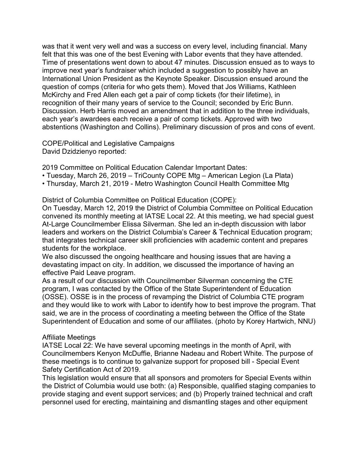was that it went very well and was a success on every level, including financial. Many felt that this was one of the best Evening with Labor events that they have attended. Time of presentations went down to about 47 minutes. Discussion ensued as to ways to improve next year's fundraiser which included a suggestion to possibly have an International Union President as the Keynote Speaker. Discussion ensued around the question of comps (criteria for who gets them). Moved that Jos Williams, Kathleen McKirchy and Fred Allen each get a pair of comp tickets (for their lifetime), in recognition of their many years of service to the Council; seconded by Eric Bunn. Discussion. Herb Harris moved an amendment that in addition to the three individuals, each year's awardees each receive a pair of comp tickets. Approved with two abstentions (Washington and Collins). Preliminary discussion of pros and cons of event.

COPE/Political and Legislative Campaigns David Dzidzienyo reported:

2019 Committee on Political Education Calendar Important Dates:

- Tuesday, March 26, 2019 TriCounty COPE Mtg American Legion (La Plata)
- Thursday, March 21, 2019 Metro Washington Council Health Committee Mtg

District of Columbia Committee on Political Education (COPE):

On Tuesday, March 12, 2019 the District of Columbia Committee on Political Education convened its monthly meeting at IATSE Local 22. At this meeting, we had special guest At-Large Councilmember Elissa Silverman. She led an in-depth discussion with labor leaders and workers on the District Columbia's Career & Technical Education program; that integrates technical career skill proficiencies with academic content and prepares students for the workplace.

We also discussed the ongoing healthcare and housing issues that are having a devastating impact on city. In addition, we discussed the importance of having an effective Paid Leave program.

As a result of our discussion with Councilmember Silverman concerning the CTE program, I was contacted by the Office of the State Superintendent of Education (OSSE). OSSE is in the process of revamping the District of Columbia CTE program and they would like to work with Labor to identify how to best improve the program. That said, we are in the process of coordinating a meeting between the Office of the State Superintendent of Education and some of our affiliates. (photo by Korey Hartwich, NNU)

## Affiliate Meetings

IATSE Local 22: We have several upcoming meetings in the month of April, with Councilmembers Kenyon McDuffie, Brianne Nadeau and Robert White. The purpose of these meetings is to continue to galvanize support for proposed bill - Special Event Safety Certification Act of 2019.

This legislation would ensure that all sponsors and promoters for Special Events within the District of Columbia would use both: (a) Responsible, qualified staging companies to provide staging and event support services; and (b) Properly trained technical and craft personnel used for erecting, maintaining and dismantling stages and other equipment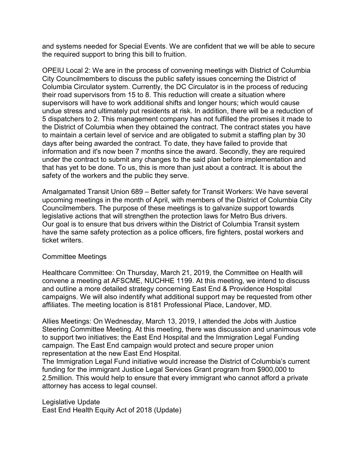and systems needed for Special Events. We are confident that we will be able to secure the required support to bring this bill to fruition.

OPEIU Local 2: We are in the process of convening meetings with District of Columbia City Councilmembers to discuss the public safety issues concerning the District of Columbia Circulator system. Currently, the DC Circulator is in the process of reducing their road supervisors from 15 to 8. This reduction will create a situation where supervisors will have to work additional shifts and longer hours; which would cause undue stress and ultimately put residents at risk. In addition, there will be a reduction of 5 dispatchers to 2. This management company has not fulfilled the promises it made to the District of Columbia when they obtained the contract. The contract states you have to maintain a certain level of service and are obligated to submit a staffing plan by 30 days after being awarded the contract. To date, they have failed to provide that information and it's now been 7 months since the award. Secondly, they are required under the contract to submit any changes to the said plan before implementation and that has yet to be done. To us, this is more than just about a contract. It is about the safety of the workers and the public they serve.

Amalgamated Transit Union 689 – Better safety for Transit Workers: We have several upcoming meetings in the month of April, with members of the District of Columbia City Councilmembers. The purpose of these meetings is to galvanize support towards legislative actions that will strengthen the protection laws for Metro Bus drivers. Our goal is to ensure that bus drivers within the District of Columbia Transit system have the same safety protection as a police officers, fire fighters, postal workers and ticket writers.

## Committee Meetings

Healthcare Committee: On Thursday, March 21, 2019, the Committee on Health will convene a meeting at AFSCME, NUCHHE 1199. At this meeting, we intend to discuss and outline a more detailed strategy concerning East End & Providence Hospital campaigns. We will also indentify what additional support may be requested from other affiliates. The meeting location is 8181 Professional Place, Landover, MD.

Allies Meetings: On Wednesday, March 13, 2019, I attended the Jobs with Justice Steering Committee Meeting. At this meeting, there was discussion and unanimous vote to support two initiatives; the East End Hospital and the Immigration Legal Funding campaign. The East End campaign would protect and secure proper union representation at the new East End Hospital.

The Immigration Legal Fund initiative would increase the District of Columbia's current funding for the immigrant Justice Legal Services Grant program from \$900,000 to 2.5million. This would help to ensure that every immigrant who cannot afford a private attorney has access to legal counsel.

Legislative Update East End Health Equity Act of 2018 (Update)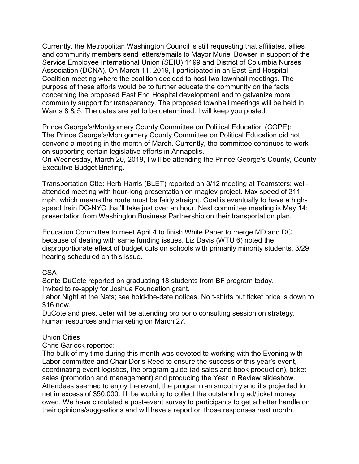Currently, the Metropolitan Washington Council is still requesting that affiliates, allies and community members send letters/emails to Mayor Muriel Bowser in support of the Service Employee International Union (SEIU) 1199 and District of Columbia Nurses Association (DCNA). On March 11, 2019, I participated in an East End Hospital Coalition meeting where the coalition decided to host two townhall meetings. The purpose of these efforts would be to further educate the community on the facts concerning the proposed East End Hospital development and to galvanize more community support for transparency. The proposed townhall meetings will be held in Wards 8 & 5. The dates are yet to be determined. I will keep you posted.

Prince George's/Montgomery County Committee on Political Education (COPE): The Prince George's/Montgomery County Committee on Political Education did not convene a meeting in the month of March. Currently, the committee continues to work on supporting certain legislative efforts in Annapolis.

On Wednesday, March 20, 2019, I will be attending the Prince George's County, County Executive Budget Briefing.

Transportation Ctte: Herb Harris (BLET) reported on 3/12 meeting at Teamsters; wellattended meeting with hour-long presentation on maglev project. Max speed of 311 mph, which means the route must be fairly straight. Goal is eventually to have a highspeed train DC-NYC that'll take just over an hour. Next committee meeting is May 14; presentation from Washington Business Partnership on their transportation plan.

Education Committee to meet April 4 to finish White Paper to merge MD and DC because of dealing with same funding issues. Liz Davis (WTU 6) noted the disproportionate effect of budget cuts on schools with primarily minority students. 3/29 hearing scheduled on this issue.

CSA

Sonte DuCote reported on graduating 18 students from BF program today. Invited to re-apply for Joshua Foundation grant.

Labor Night at the Nats; see hold-the-date notices. No t-shirts but ticket price is down to \$16 now.

DuCote and pres. Jeter will be attending pro bono consulting session on strategy, human resources and marketing on March 27.

## Union Cities

Chris Garlock reported:

The bulk of my time during this month was devoted to working with the Evening with Labor committee and Chair Doris Reed to ensure the success of this year's event, coordinating event logistics, the program guide (ad sales and book production), ticket sales (promotion and management) and producing the Year in Review slideshow. Attendees seemed to enjoy the event, the program ran smoothly and it's projected to net in excess of \$50,000. I'll be working to collect the outstanding ad/ticket money owed. We have circulated a post-event survey to participants to get a better handle on their opinions/suggestions and will have a report on those responses next month.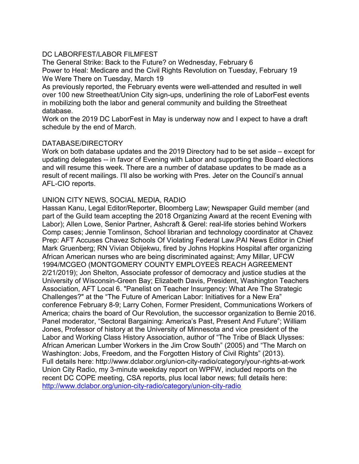# DC LABORFEST/LABOR FILMFEST

The General Strike: Back to the Future? on Wednesday, February 6 Power to Heal: Medicare and the Civil Rights Revolution on Tuesday, February 19 We Were There on Tuesday, March 19

As previously reported, the February events were well-attended and resulted in well over 100 new Streetheat/Union City sign-ups, underlining the role of LaborFest events in mobilizing both the labor and general community and building the Streetheat database.

Work on the 2019 DC LaborFest in May is underway now and I expect to have a draft schedule by the end of March.

## DATABASE/DIRECTORY

Work on both database updates and the 2019 Directory had to be set aside – except for updating delegates -- in favor of Evening with Labor and supporting the Board elections and will resume this week. There are a number of database updates to be made as a result of recent mailings. I'll also be working with Pres. Jeter on the Council's annual AFL-CIO reports.

## UNION CITY NEWS, SOCIAL MEDIA, RADIO

Hassan Kanu, Legal Editor/Reporter, Bloomberg Law; Newspaper Guild member (and part of the Guild team accepting the 2018 Organizing Award at the recent Evening with Labor); Allen Lowe, Senior Partner, Ashcraft & Gerel: real-life stories behind Workers Comp cases; Jennie Tomlinson, School librarian and technology coordinator at Chavez Prep: AFT Accuses Chavez Schools Of Violating Federal Law.PAI News Editor in Chief Mark Gruenberg; RN Vivian Obijekwu, fired by Johns Hopkins Hospital after organizing African American nurses who are being discriminated against; Amy Millar, UFCW 1994/MCGEO (MONTGOMERY COUNTY EMPLOYEES REACH AGREEMENT 2/21/2019); Jon Shelton, Associate professor of democracy and justice studies at the University of Wisconsin-Green Bay; Elizabeth Davis, President, Washington Teachers Association, AFT Local 6. "Panelist on Teacher Insurgency: What Are The Strategic Challenges?" at the "The Future of American Labor: Initiatives for a New Era" conference February 8-9; Larry Cohen, Former President, Communications Workers of America; chairs the board of Our Revolution, the successor organization to Bernie 2016. Panel moderator, "Sectoral Bargaining: America's Past, Present And Future"; William Jones, Professor of history at the University of Minnesota and vice president of the Labor and Working Class History Association, author of "The Tribe of Black Ulysses: African American Lumber Workers in the Jim Crow South" (2005) and "The March on Washington: Jobs, Freedom, and the Forgotten History of Civil Rights" (2013). Full details here: http://www.dclabor.org/union-city-radio/category/your-rights-at-work Union City Radio, my 3-minute weekday report on WPFW, included reports on the recent DC COPE meeting, CSA reports, plus local labor news; full details here: http://www.dclabor.org/union-city-radio/category/union-city-radio